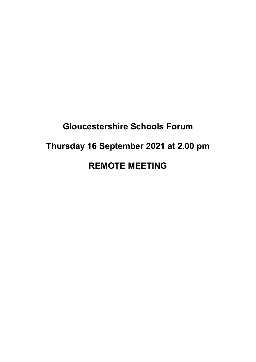# **Gloucestershire Schools Forum Thursday 16 September 2021 at 2.00 pm REMOTE MEETING**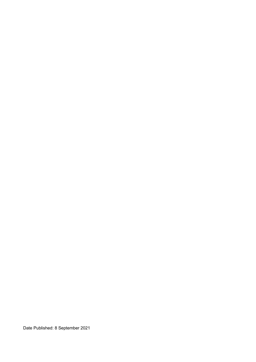Date Published: 8 September 2021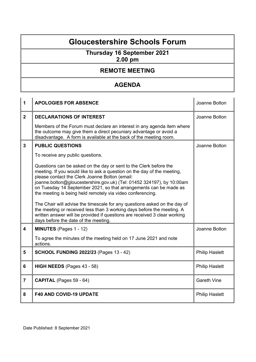### **Gloucestershire Schools Forum**

## **Thursday 16 September 2021**

**2.00 pm**

#### **REMOTE MEETING**

#### **AGENDA**

| 1                       | <b>APOLOGIES FOR ABSENCE</b>                                                                                                                                                                                                                                                                                                                                                                               | Joanne Bolton         |
|-------------------------|------------------------------------------------------------------------------------------------------------------------------------------------------------------------------------------------------------------------------------------------------------------------------------------------------------------------------------------------------------------------------------------------------------|-----------------------|
| 2 <sup>1</sup>          | <b>DECLARATIONS OF INTEREST</b>                                                                                                                                                                                                                                                                                                                                                                            | Joanne Bolton         |
|                         | Members of the Forum must declare an interest in any agenda item where<br>the outcome may give them a direct pecuniary advantage or avoid a<br>disadvantage. A form is available at the back of the meeting room.                                                                                                                                                                                          |                       |
| $\overline{3}$          | <b>PUBLIC QUESTIONS</b>                                                                                                                                                                                                                                                                                                                                                                                    | Joanne Bolton         |
|                         | To receive any public questions.                                                                                                                                                                                                                                                                                                                                                                           |                       |
|                         | Questions can be asked on the day or sent to the Clerk before the<br>meeting. If you would like to ask a question on the day of the meeting,<br>please contact the Clerk Joanne Bolton (email:<br>joanne.bolton@gloucestershire.gov.uk) (Tel: 01452 324197), by 10:00am<br>on Tuesday 14 September 2021, so that arrangements can be made as<br>the meeting is being held remotely via video conferencing. |                       |
|                         | The Chair will advise the timescale for any questions asked on the day of<br>the meeting or received less than 3 working days before the meeting. A<br>written answer will be provided if questions are received 3 clear working<br>days before the date of the meeting.                                                                                                                                   |                       |
| $\overline{\mathbf{4}}$ | <b>MINUTES</b> (Pages 1 - 12)                                                                                                                                                                                                                                                                                                                                                                              | Joanne Bolton         |
|                         | To agree the minutes of the meeting held on 17 June 2021 and note<br>actions.                                                                                                                                                                                                                                                                                                                              |                       |
| 5                       | <b>SCHOOL FUNDING 2022/23 (Pages 13 - 42)</b>                                                                                                                                                                                                                                                                                                                                                              | <b>Philip Haslett</b> |
| 6                       | HIGH NEEDS (Pages 43 - 58)                                                                                                                                                                                                                                                                                                                                                                                 | <b>Philip Haslett</b> |
| $\overline{7}$          | <b>CAPITAL</b> (Pages 59 - 64)                                                                                                                                                                                                                                                                                                                                                                             | <b>Gareth Vine</b>    |
| 8                       | <b>F40 AND COVID-19 UPDATE</b>                                                                                                                                                                                                                                                                                                                                                                             | <b>Philip Haslett</b> |